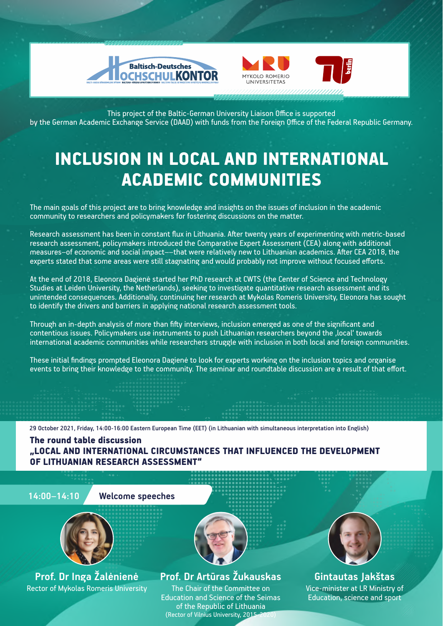





This project of the Baltic-German University Liaison Office is supported by the German Academic Exchange Service (DAAD) with funds from the Foreign Office of the Federal Republic Germany.

# INCLUSION IN LOCAL AND INTERNATIONAL ACADEMIC COMMUNITIES

The main goals of this project are to bring knowledge and insights on the issues of inclusion in the academic community to researchers and policymakers for fostering discussions on the matter.

Research assessment has been in constant flux in Lithuania. After twenty years of experimenting with metric-based research assessment, policymakers introduced the Comparative Expert Assessment (CEA) along with additional measures–of economic and social impact––that were relatively new to Lithuanian academics. Aſter CEA 2018, the experts stated that some areas were still stagnating and would probably not improve without focused efforts.

At the end of 2018, Eleonora Dagienė started her PhD research at CWTS (the Center of Science and Technology Studies at Leiden University, the Netherlands), seeking to investigate quantitative research assessment and its unintended consequences. Additionally, continuing her research at Mykolas Romeris University, Eleonora has sought to identify the drivers and barriers in applying national research assessment tools.

Through an in-depth analysis of more than fifty interviews, inclusion emerged as one of the significant and contentious issues. Policymakers use instruments to push Lithuanian researchers beyond the 'local' towards international academic communities while researchers struggle with inclusion in both local and foreign communities.

These initial findings prompted Eleonora Dagienė to look for experts working on the inclusion topics and organise events to bring their knowledge to the community. The seminar and roundtable discussion are a result of that effort.

29 October 2021, Friday, 14:00-16:00 Eastern European Time (EET) (in Lithuanian with simultaneous interpretation into English)

The round table discussion "LOCAL AND INTERNATIONAL CIRCUMSTANCES THAT INFLUENCED THE DEVELOPMENT OF LITHUANIAN RESEARCH ASSESSMENT"

**14:00–14:10 Welcome speeches**



**Prof. Dr Inga Žalėnienė** Rector of Mykolas Romeris University

#### **Prof. Dr Artūras Žukauskas**

The Chair of the Committee on Education and Science of the Seimas of the Republic of Lithuania (Rector of Vilnius University, 2015-



**Gintautas Jakštas**

Vice-minister at LR Ministry of Education, science and sport